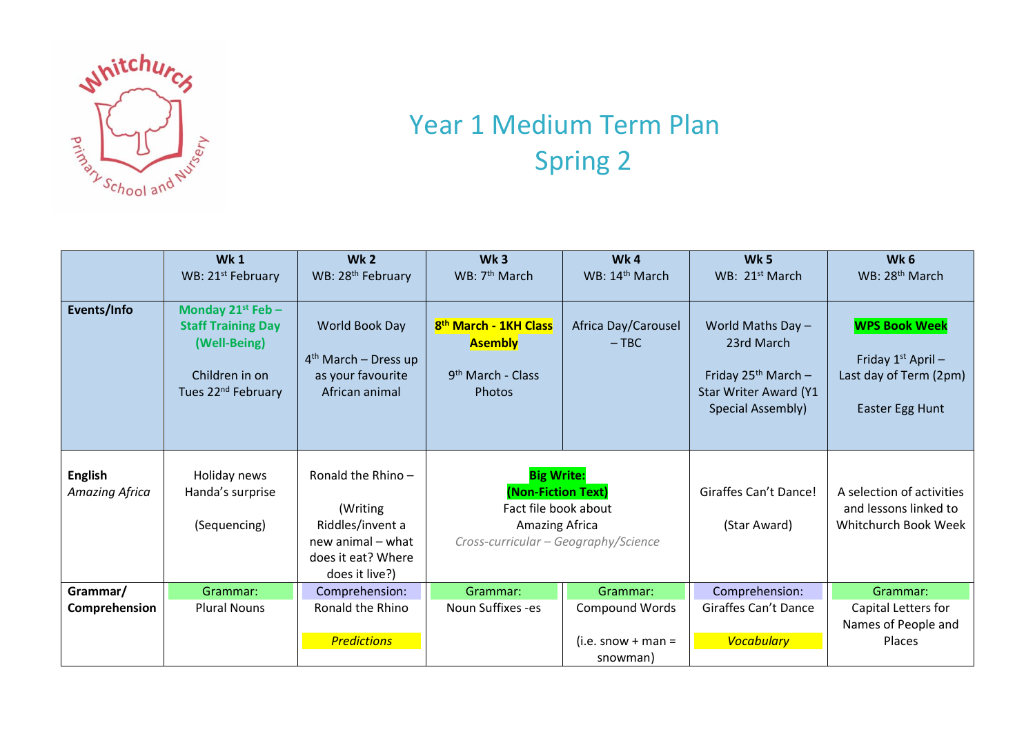

## Year 1 Medium Term Plan Spring 2

|                                  | <b>Wk1</b>                                                                                                         | Wk <sub>2</sub>                                                                                                 | Wk <sub>3</sub>                                                                                                                  | Wk4                            | Wk <sub>5</sub>                                                                                                    | Wk <sub>6</sub>                                                                           |
|----------------------------------|--------------------------------------------------------------------------------------------------------------------|-----------------------------------------------------------------------------------------------------------------|----------------------------------------------------------------------------------------------------------------------------------|--------------------------------|--------------------------------------------------------------------------------------------------------------------|-------------------------------------------------------------------------------------------|
|                                  | WB: 21 <sup>st</sup> February                                                                                      | WB: 28 <sup>th</sup> February                                                                                   | WB: 7 <sup>th</sup> March                                                                                                        | WB: 14 <sup>th</sup> March     | WB: 21 <sup>st</sup> March                                                                                         | WB: 28 <sup>th</sup> March                                                                |
| Events/Info                      | Monday 21st Feb -<br><b>Staff Training Day</b><br>(Well-Being)<br>Children in on<br>Tues 22 <sup>nd</sup> February | World Book Day<br>$4th$ March – Dress up<br>as your favourite<br>African animal                                 | 8 <sup>th</sup> March - 1KH Class<br><b>Asembly</b><br>9 <sup>th</sup> March - Class<br>Photos                                   | Africa Day/Carousel<br>$-$ TBC | World Maths Day $-$<br>23rd March<br>Friday $25^{th}$ March -<br><b>Star Writer Award (Y1</b><br>Special Assembly) | <b>WPS Book Week</b><br>Friday $1st$ April –<br>Last day of Term (2pm)<br>Easter Egg Hunt |
| <b>English</b><br>Amazing Africa | Holiday news<br>Handa's surprise<br>(Sequencing)                                                                   | Ronald the Rhino-<br>(Writing)<br>Riddles/invent a<br>new animal – what<br>does it eat? Where<br>does it live?) | <b>Big Write:</b><br>(Non-Fiction Text)<br>Fact file book about<br><b>Amazing Africa</b><br>Cross-curricular - Geography/Science |                                | Giraffes Can't Dance!<br>(Star Award)                                                                              | A selection of activities<br>and lessons linked to<br>Whitchurch Book Week                |
| Grammar/                         | Grammar:                                                                                                           | Comprehension:                                                                                                  | Grammar:                                                                                                                         | Grammar:                       | Comprehension:                                                                                                     | Grammar:                                                                                  |
| Comprehension                    | <b>Plural Nouns</b>                                                                                                | Ronald the Rhino                                                                                                | Noun Suffixes -es                                                                                                                | <b>Compound Words</b>          | Giraffes Can't Dance                                                                                               | Capital Letters for                                                                       |
|                                  |                                                                                                                    |                                                                                                                 |                                                                                                                                  |                                |                                                                                                                    | Names of People and                                                                       |
|                                  |                                                                                                                    | <b>Predictions</b>                                                                                              |                                                                                                                                  | $(i.e. snow + man =$           | <b>Vocabulary</b>                                                                                                  | Places                                                                                    |
|                                  |                                                                                                                    |                                                                                                                 |                                                                                                                                  | snowman)                       |                                                                                                                    |                                                                                           |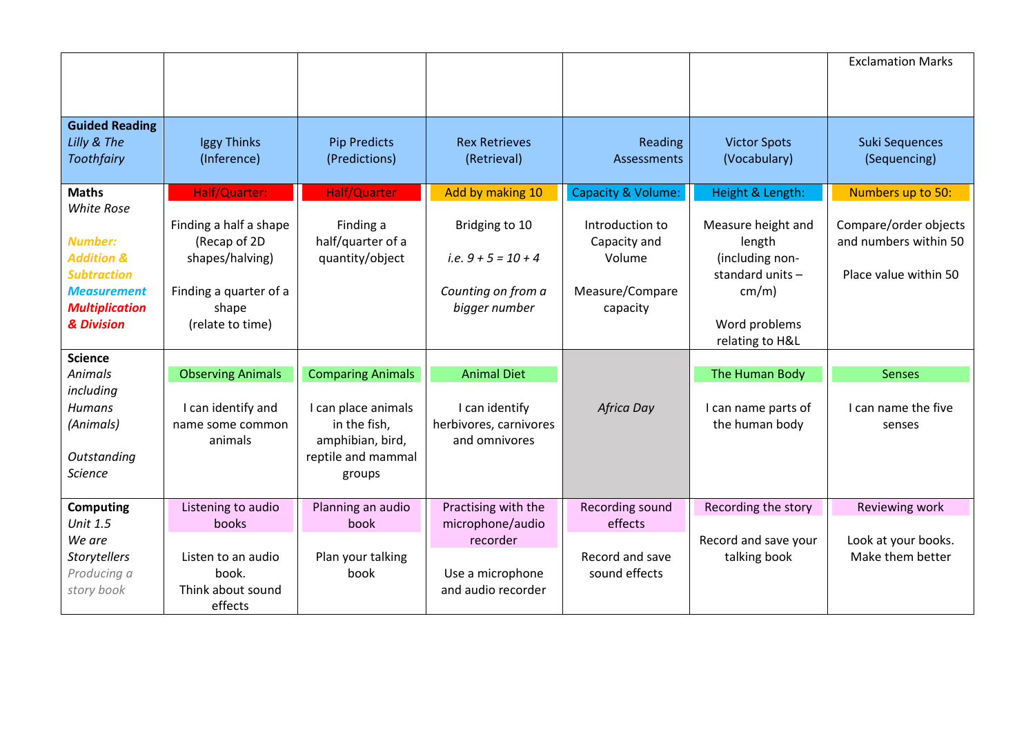|                           |                                        |                                  |                                         |                                 |                                  | <b>Exclamation Marks</b>                       |
|---------------------------|----------------------------------------|----------------------------------|-----------------------------------------|---------------------------------|----------------------------------|------------------------------------------------|
|                           |                                        |                                  |                                         |                                 |                                  |                                                |
|                           |                                        |                                  |                                         |                                 |                                  |                                                |
| <b>Guided Reading</b>     |                                        |                                  |                                         |                                 |                                  |                                                |
| Lilly & The               | Iggy Thinks                            | <b>Pip Predicts</b>              | <b>Rex Retrieves</b>                    | Reading                         | <b>Victor Spots</b>              | <b>Suki Sequences</b>                          |
| Toothfairy                | (Inference)                            | (Predictions)                    | (Retrieval)                             | Assessments                     | (Vocabulary)                     | (Sequencing)                                   |
| <b>Maths</b>              | Half/Quarter:                          | Half/Quarter                     | Add by making 10                        | Capacity & Volume:              | Height & Length:                 | Numbers up to 50:                              |
| <b>White Rose</b>         |                                        |                                  |                                         |                                 |                                  |                                                |
| <b>Number:</b>            | Finding a half a shape<br>(Recap of 2D | Finding a<br>half/quarter of a   | Bridging to 10                          | Introduction to<br>Capacity and | Measure height and<br>length     | Compare/order objects<br>and numbers within 50 |
| <b>Addition &amp;</b>     | shapes/halving)                        | quantity/object                  | i.e. $9 + 5 = 10 + 4$                   | Volume                          | (including non-                  |                                                |
| <b>Subtraction</b>        |                                        |                                  |                                         |                                 | standard units -                 | Place value within 50                          |
| <b>Measurement</b>        | Finding a quarter of a                 |                                  | Counting on from a                      | Measure/Compare                 | cm/m)                            |                                                |
| <b>Multiplication</b>     | shape                                  |                                  | bigger number                           | capacity                        |                                  |                                                |
| & Division                | (relate to time)                       |                                  |                                         |                                 | Word problems<br>relating to H&L |                                                |
| <b>Science</b>            |                                        |                                  |                                         |                                 |                                  |                                                |
| <b>Animals</b>            | <b>Observing Animals</b>               | <b>Comparing Animals</b>         | <b>Animal Diet</b>                      |                                 | The Human Body                   | <b>Senses</b>                                  |
| including                 |                                        |                                  |                                         |                                 |                                  |                                                |
| <b>Humans</b>             | I can identify and                     | I can place animals              | I can identify                          | Africa Day                      | I can name parts of              | I can name the five                            |
| (Animals)                 | name some common<br>animals            | in the fish,<br>amphibian, bird, | herbivores, carnivores<br>and omnivores |                                 | the human body                   | senses                                         |
| Outstanding               |                                        | reptile and mammal               |                                         |                                 |                                  |                                                |
| Science                   |                                        | groups                           |                                         |                                 |                                  |                                                |
|                           |                                        |                                  |                                         |                                 |                                  |                                                |
| <b>Computing</b>          | Listening to audio                     | Planning an audio                | Practising with the                     | Recording sound                 | Recording the story              | Reviewing work                                 |
| <b>Unit 1.5</b><br>We are | books                                  | book                             | microphone/audio<br>recorder            | effects                         | Record and save your             | Look at your books.                            |
| Storytellers              | Listen to an audio                     | Plan your talking                |                                         | Record and save                 | talking book                     | Make them better                               |
| Producing a               | book.                                  | book                             | Use a microphone                        | sound effects                   |                                  |                                                |
| story book                | Think about sound                      |                                  | and audio recorder                      |                                 |                                  |                                                |
|                           | effects                                |                                  |                                         |                                 |                                  |                                                |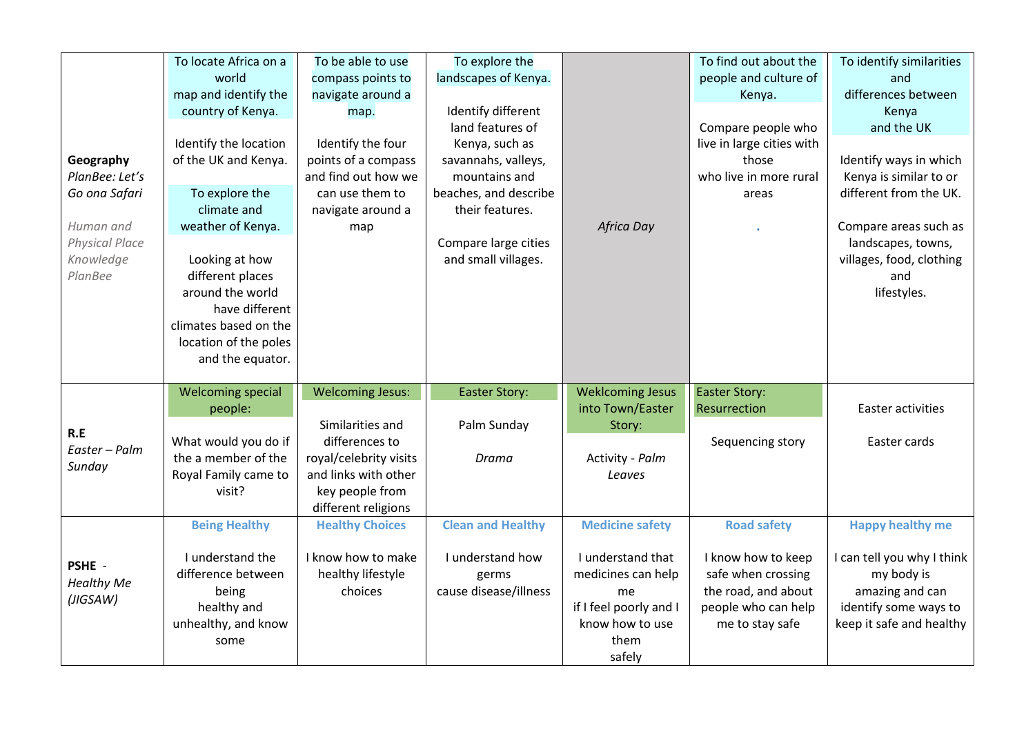|                                                 | To locate Africa on a<br>world<br>map and identify the<br>country of Kenya.                              | To be able to use<br>compass points to<br>navigate around a<br>map.                      | To explore the<br>landscapes of Kenya.<br>Identify different<br>land features of |                                                                                                              | To find out about the<br>people and culture of<br>Kenya.<br>Compare people who                            | To identify similarities<br>and<br>differences between<br>Kenya<br>and the UK                                    |
|-------------------------------------------------|----------------------------------------------------------------------------------------------------------|------------------------------------------------------------------------------------------|----------------------------------------------------------------------------------|--------------------------------------------------------------------------------------------------------------|-----------------------------------------------------------------------------------------------------------|------------------------------------------------------------------------------------------------------------------|
| Geography<br>PlanBee: Let's<br>Go ona Safari    | Identify the location<br>of the UK and Kenya.<br>To explore the                                          | Identify the four<br>points of a compass<br>and find out how we<br>can use them to       | Kenya, such as<br>savannahs, valleys,<br>mountains and<br>beaches, and describe  |                                                                                                              | live in large cities with<br>those<br>who live in more rural<br>areas                                     | Identify ways in which<br>Kenya is similar to or<br>different from the UK.                                       |
| Human and<br><b>Physical Place</b><br>Knowledge | climate and<br>weather of Kenya.<br>Looking at how                                                       | navigate around a<br>map                                                                 | their features.<br>Compare large cities<br>and small villages.                   | Africa Day                                                                                                   |                                                                                                           | Compare areas such as<br>landscapes, towns,<br>villages, food, clothing                                          |
| PlanBee                                         | different places<br>around the world<br>have different<br>climates based on the<br>location of the poles |                                                                                          |                                                                                  |                                                                                                              |                                                                                                           | and<br>lifestyles.                                                                                               |
|                                                 | and the equator.<br><b>Welcoming special</b>                                                             | <b>Welcoming Jesus:</b>                                                                  | <b>Easter Story:</b>                                                             | <b>Weklcoming Jesus</b>                                                                                      | <b>Easter Story:</b>                                                                                      |                                                                                                                  |
|                                                 | people:                                                                                                  |                                                                                          |                                                                                  | into Town/Easter                                                                                             | Resurrection                                                                                              | Easter activities                                                                                                |
| R.E<br>Easter - Palm<br>Sunday                  | What would you do if                                                                                     | Similarities and<br>differences to                                                       | Palm Sunday                                                                      | Story:                                                                                                       | Sequencing story                                                                                          | Easter cards                                                                                                     |
|                                                 | the a member of the<br>Royal Family came to<br>visit?                                                    | royal/celebrity visits<br>and links with other<br>key people from<br>different religions | Drama                                                                            | Activity - Palm<br>Leaves                                                                                    |                                                                                                           |                                                                                                                  |
|                                                 | <b>Being Healthy</b>                                                                                     | <b>Healthy Choices</b>                                                                   | <b>Clean and Healthy</b>                                                         | <b>Medicine safety</b>                                                                                       | <b>Road safety</b>                                                                                        | <b>Happy healthy me</b>                                                                                          |
| PSHE -<br><b>Healthy Me</b><br>(JIGSAW)         | I understand the<br>difference between<br>being<br>healthy and<br>unhealthy, and know<br>some            | I know how to make<br>healthy lifestyle<br>choices                                       | I understand how<br>germs<br>cause disease/illness                               | I understand that<br>medicines can help<br>me<br>if I feel poorly and I<br>know how to use<br>them<br>safely | I know how to keep<br>safe when crossing<br>the road, and about<br>people who can help<br>me to stay safe | I can tell you why I think<br>my body is<br>amazing and can<br>identify some ways to<br>keep it safe and healthy |